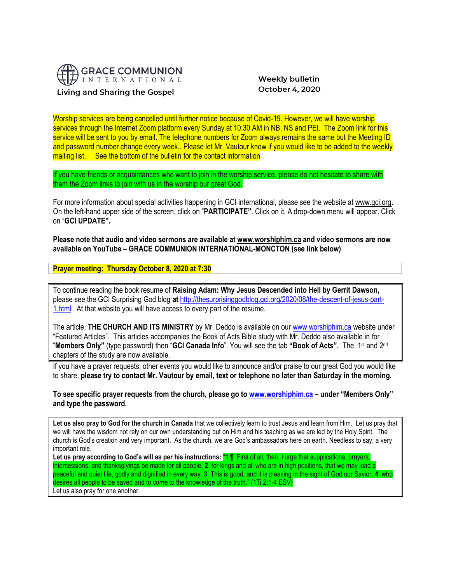

**Living and Sharing the Gospel** 

**Weekly bulletin October 4, 2020** 

Worship services are being cancelled until further notice because of Covid-19. However, we will have worship services through the Internet Zoom platform every Sunday at 10:30 AM in NB, NS and PEI. The Zoom link for this service will be sent to you by email. The telephone numbers for Zoom always remains the same but the Meeting ID and password number change every week.. Please let Mr. Vautour know if you would like to be added to the weekly mailing list. See the bottom of the bulletin for the contact information

If you have friends or acquaintances who want to join in the worship service, please do not hesitate to share with them the Zoom links to join with us in the worship our great God.

For more information about special activities happening in GCI international, please see the website at [www.gci.org.](http://www.gci.org/) On the left-hand upper side of the screen, click on "**PARTICIPATE"**. Click on it. A drop-down menu will appear. Click on "**GCI UPDATE".**

**Please note that audio and video sermons are available at [www.worshiphim.ca](http://www.worshiphim.ca/) and video sermons are now available on YouTube – GRACE COMMUNION INTERNATIONAL-MONCTON (see link below)** 

**Prayer meeting: Thursday October 8, 2020 at 7:30**

To continue reading the book resume of **Raising Adam: Why Jesus Descended into Hell by Gerrit Dawson,**  please see the GCI Surprising God blog **at** [http://thesurprisinggodblog.gci.org/2020/08/the-descent-of-jesus-part-](http://thesurprisinggodblog.gci.org/2020/08/the-descent-of-jesus-part-1.html)[1.html](http://thesurprisinggodblog.gci.org/2020/08/the-descent-of-jesus-part-1.html) . At that website you will have access to every part of the resume.

The article, **THE CHURCH AND ITS MINISTRY** by Mr. Deddo is available on ou[r www.worshiphim.ca](http://www.worshiphim.ca/) website under "Featured Articles". This articles accompanies the Book of Acts Bible study with Mr. Deddo also available in for "**Members Only"** (type password) then "**GCI Canada Info**". You will see the tab **"Book of Acts".** The 1st and 2nd chapters of the study are now available.

If you have a prayer requests, other events you would like to announce and/or praise to our great God you would like to share, **please try to contact Mr. Vautour by email, text or telephone no later than Saturday in the morning.**

**To see specific prayer requests from the church, please go to [www.worshiphim.ca](http://www.worshiphim.ca/) – under "Members Only" and type the password.**

**Let us also pray to God for the church in Canada** that we collectively learn to trust Jesus and learn from Him. Let us pray that we will have the wisdom not rely on our own understanding but on Him and his teaching as we are led by the Holy Spirit. The church is God's creation and very important. As the church, we are God's ambassadors here on earth. Needless to say, a very important role.

Let us pray according to God's will as per his instructions: "1 | First of all, then, I urge that supplications, prayers, intercessions, and thanksgivings be made for all people, **2** for kings and all who are in high positions, that we may lead a peaceful and quiet life, godly and dignified in every way. **3** This is good, and it is pleasing in the sight of God our Savior, **4** who desires all people to be saved and to come to the knowledge of the truth." (1Ti 2:1-4 ESV) Let us also pray for one another.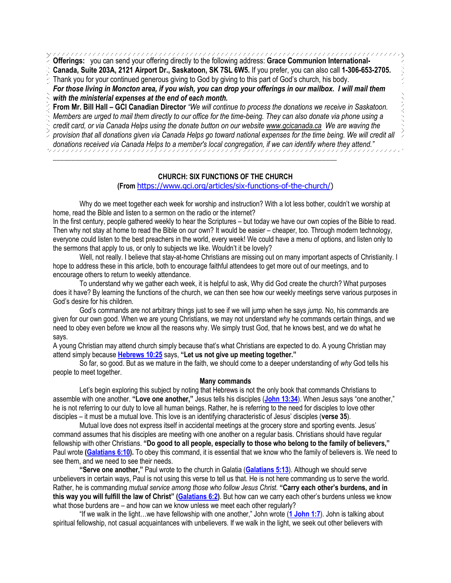**Offerings:** you can send your offering directly to the following address: **Grace Communion International-Canada, Suite 203A, 2121 Airport Dr., Saskatoon, SK 7SL 6W5.** If you prefer, you can also call **1-306-653-2705.**  Thank you for your continued generous giving to God by giving to this part of God's church, his body. *For those living in Moncton area, if you wish, you can drop your offerings in our mailbox. I will mail them with the ministerial expenses at the end of each month.*  **From Mr. Bill Hall – GCI Canadian Director** *"We will continue to process the donations we receive in Saskatoon. Members are urged to mail them directly to our office for the time-being. They can also donate via phone using a credit card, or via Canada Helps using the donate button on our website [www.gcicanada.ca](https://eur03.safelinks.protection.outlook.com/?url=http%3A%2F%2Fwww.gcicanada.ca%2F&data=02%7C01%7C%7C9fd93e29c2b44509e5a008d7caa78fdb%7C84df9e7fe9f640afb435aaaaaaaaaaaa%7C1%7C0%7C637200693331983394&sdata=VAGy4Q%2BxbhHuYaeEiDz%2FQyicT%2FoiY4Ir9kc8w5yHRPs%3D&reserved=0) We are waving the*  provision that all donations given via Canada Helps go toward national expenses for the time being. We will credit all *donations received via Canada Helps to a member's local congregation, if we can identify where they attend."*

# **CHURCH: SIX FUNCTIONS OF THE CHURCH**

## **(From** [https://www.gci.org/articles/six-functions-of-the-church/\)](https://www.gci.org/articles/six-functions-of-the-church/)

Why do we meet together each week for worship and instruction? With a lot less bother, couldn't we worship at home, read the Bible and listen to a sermon on the radio or the internet?

In the first century, people gathered weekly to hear the Scriptures – but today we have our own copies of the Bible to read. Then why not stay at home to read the Bible on our own? It would be easier – cheaper, too. Through modern technology, everyone could listen to the best preachers in the world, every week! We could have a menu of options, and listen only to the sermons that apply to us, or only to subjects we like. Wouldn't it be lovely?

Well, not really. I believe that stay-at-home Christians are missing out on many important aspects of Christianity. I hope to address these in this article, both to encourage faithful attendees to get more out of our meetings, and to encourage others to return to weekly attendance.

To understand why we gather each week, it is helpful to ask, Why did God create the church? What purposes does it have? By learning the functions of the church, we can then see how our weekly meetings serve various purposes in God's desire for his children.

God's commands are not arbitrary things just to see if we will jump when he says *jump.* No, his commands are given for our own good. When we are young Christians, we may not understand *why* he commands certain things, and we need to obey even before we know all the reasons why. We simply trust God, that he knows best, and we do what he says.

A young Christian may attend church simply because that's what Christians are expected to do. A young Christian may attend simply because **[Hebrews 10:25](http://biblia.com/bible/niv/Heb%2010.25)** says, **"Let us not give up meeting together."**

So far, so good. But as we mature in the faith, we should come to a deeper understanding of *why* God tells his people to meet together.

#### **Many commands**

Let's begin exploring this subject by noting that Hebrews is not the only book that commands Christians to assemble with one another. **"Love one another,"** Jesus tells his disciples (**[John 13:34](http://biblia.com/bible/niv/John%2013.34)**). When Jesus says "one another," he is not referring to our duty to love all human beings. Rather, he is referring to the need for disciples to love other disciples – it must be a mutual love. This love is an identifying characteristic of Jesus' disciples (**verse 35**).

Mutual love does not express itself in accidental meetings at the grocery store and sporting events. Jesus' command assumes that his disciples are meeting with one another on a regular basis. Christians should have regular fellowship with other Christians. **"Do good to all people, especially to those who belong to the family of believers,"** Paul wrote **[\(Galatians 6:10\)](http://biblia.com/bible/niv/Gal%206.10).** To obey this command, it is essential that we know who the family of believers is. We need to see them, and we need to see their needs.

**"Serve one another,"** Paul wrote to the church in Galatia (**[Galatians 5:13](http://biblia.com/bible/niv/Gal%205.13)**). Although we should serve unbelievers in certain ways, Paul is not using this verse to tell us that. He is not here commanding us to serve the world. Rather, he is commanding *mutual service among those who follow Jesus Christ.* **"Carry each other's burdens, and in this way you will fulfill the law of Christ" ([Galatians 6:2\)](http://biblia.com/bible/niv/Gal%206.2)**. But how can we carry each other's burdens unless we know what those burdens are – and how can we know unless we meet each other regularly?

"If we walk in the light…we have fellowship with one another," John wrote (**[1 John 1:7](http://biblia.com/bible/niv/1%20John%201.7)**). John is talking about spiritual fellowship, not casual acquaintances with unbelievers. If we walk in the light, we seek out other believers with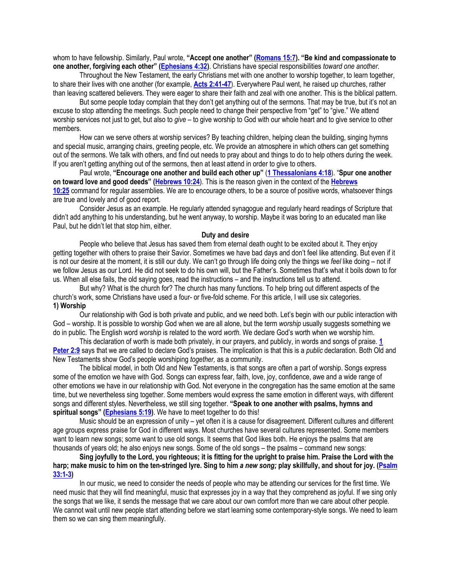whom to have fellowship. Similarly, Paul wrote, **"Accept one another" ([Romans 15:7\)](http://biblia.com/bible/niv/Rom%2015.7). "Be kind and compassionate to one another, forgiving each other" ([Ephesians 4:32\)](http://biblia.com/bible/niv/Eph%204.32)**. Christians have special responsibilities *toward one another.*

Throughout the New Testament, the early Christians met with one another to worship together, to learn together, to share their lives with one another (for example, **[Acts 2:41-47](http://biblia.com/bible/niv/Acts%202.41-47)**). Everywhere Paul went, he raised up churches, rather than leaving scattered believers. They were eager to share their faith and zeal with one another. This is the biblical pattern.

But some people today complain that they don't get anything out of the sermons. That may be true, but it's not an excuse to stop attending the meetings. Such people need to change their perspective from "get" to "give." We attend worship services not just to get, but also to *give* – to give worship to God with our whole heart and to give service to other members.

How can we serve others at worship services? By teaching children, helping clean the building, singing hymns and special music, arranging chairs, greeting people, etc. We provide an atmosphere in which others can get something out of the sermons. We talk with others, and find out needs to pray about and things to do to help others during the week. If you aren't getting anything out of the sermons, then at least attend in order to give to others.

Paul wrote, **"Encourage one another and build each other up"** (**[1 Thessalonians 4:18](http://biblia.com/bible/niv/1%20Thess%204.18)**). "**Spur one another on toward love and good deeds" ([Hebrews 10:24](http://biblia.com/bible/niv/Heb%2010.24)**). This is the reason given in the context of the **[Hebrews](http://biblia.com/bible/niv/Heb%2010.25)  [10:25](http://biblia.com/bible/niv/Heb%2010.25)** command for regular assemblies. We are to encourage others, to be a source of positive words, whatsoever things are true and lovely and of good report.

Consider Jesus as an example. He regularly attended synagogue and regularly heard readings of Scripture that didn't add anything to his understanding, but he went anyway, to worship. Maybe it was boring to an educated man like Paul, but he didn't let that stop him, either.

#### **Duty and desire**

People who believe that Jesus has saved them from eternal death ought to be excited about it. They enjoy getting together with others to praise their Savior. Sometimes we have bad days and don't feel like attending. But even if it is not our desire at the moment, it is still our duty. We can't go through life doing only the things we *feel* like doing – not if we follow Jesus as our Lord. He did not seek to do his own will, but the Father's. Sometimes that's what it boils down to for us. When all else fails, the old saying goes, read the instructions – and the instructions tell us to attend.

But why? What is the church for? The church has many functions. To help bring out different aspects of the church's work, some Christians have used a four- or five-fold scheme. For this article, I will use six categories. **1) Worship**

Our relationship with God is both private and public, and we need both. Let's begin with our public interaction with God – worship. It is possible to worship God when we are all alone, but the term *worship* usually suggests something we do in public. The English word *worship* is related to the word *worth.* We declare God's worth when we worship him.

This declaration of worth is made both privately, in our prayers, and publicly, in words and songs of praise. **[1](http://biblia.com/bible/niv/1%20Pet%202.9)  [Peter 2:9](http://biblia.com/bible/niv/1%20Pet%202.9)** says that we are called to declare God's praises. The implication is that this is a *public* declaration. Both Old and New Testaments show God's people worshiping *together,* as a community.

The biblical model, in both Old and New Testaments, is that songs are often a part of worship. Songs express some of the emotion we have with God. Songs can express fear, faith, love, joy, confidence, awe and a wide range of other emotions we have in our relationship with God. Not everyone in the congregation has the same emotion at the same time, but we nevertheless sing together. Some members would express the same emotion in different ways, with different songs and different styles. Nevertheless, we still sing together. **"Speak to one another with psalms, hymns and spiritual songs" ([Ephesians 5:19\)](http://biblia.com/bible/niv/Eph%205.19)**. We have to meet together to do this!

Music should be an expression of unity – yet often it is a cause for disagreement. Different cultures and different age groups express praise for God in different ways. Most churches have several cultures represented. Some members want to learn new songs; some want to use old songs. It seems that God likes both. He enjoys the psalms that are thousands of years old; he also enjoys new songs. Some of the old songs – the psalms – command new songs:

**Sing joyfully to the Lord, you righteous; it is fitting for the upright to praise him. Praise the Lord with the harp; make music to him on the ten-stringed lyre. Sing to him** *a new song;* **play skillfully, and shout for joy. [\(Psalm](http://biblia.com/bible/niv/Ps%2033.1-3)  [33:1-3\)](http://biblia.com/bible/niv/Ps%2033.1-3)**

In our music, we need to consider the needs of people who may be attending our services for the first time. We need music that they will find meaningful, music that expresses joy in a way that they comprehend as joyful. If we sing only the songs that we like, it sends the message that we care about our own comfort more than we care about other people. We cannot wait until new people start attending before we start learning some contemporary-style songs. We need to learn them so we can sing them meaningfully.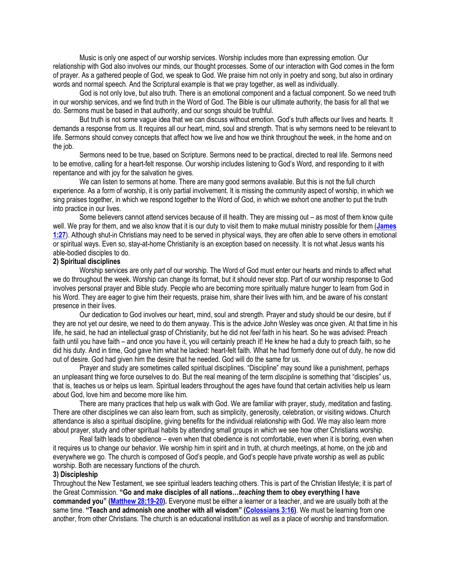Music is only one aspect of our worship services. Worship includes more than expressing emotion. Our relationship with God also involves our minds, our thought processes. Some of our interaction with God comes in the form of prayer. As a gathered people of God, we speak to God. We praise him not only in poetry and song, but also in ordinary words and normal speech. And the Scriptural example is that we pray together, as well as individually.

God is not only love, but also truth. There is an emotional component and a factual component. So we need truth in our worship services, and we find truth in the Word of God. The Bible is our ultimate authority, the basis for all that we do. Sermons must be based in that authority, and our songs should be truthful.

But truth is not some vague idea that we can discuss without emotion. God's truth affects our lives and hearts. It demands a response from us. It requires all our heart, mind, soul and strength. That is why sermons need to be relevant to life. Sermons should convey concepts that affect how we live and how we think throughout the week, in the home and on the job.

Sermons need to be true, based on Scripture. Sermons need to be practical, directed to real life. Sermons need to be emotive, calling for a heart-felt response. Our worship includes listening to God's Word, and responding to it with repentance and with joy for the salvation he gives.

We can listen to sermons at home. There are many good sermons available. But this is not the full church experience. As a form of worship, it is only partial involvement. It is missing the community aspect of worship, in which we sing praises together, in which we respond together to the Word of God, in which we exhort one another to put the truth into practice in our lives.

Some believers cannot attend services because of ill health. They are missing out – as most of them know quite well. We pray for them, and we also know that it is our duty to visit them to make mutual ministry possible for them (**[James](http://biblia.com/bible/niv/James%201.27)  [1:27](http://biblia.com/bible/niv/James%201.27)**). Although shut-in Christians may need to be served in physical ways, they are often able to serve others in emotional or spiritual ways. Even so, stay-at-home Christianity is an exception based on necessity. It is not what Jesus wants his able-bodied disciples to do.

#### **2) Spiritual disciplines**

Worship services are only *part* of our worship. The Word of God must enter our hearts and minds to affect what we do throughout the week. Worship can change its format, but it should never stop. Part of our worship response to God involves personal prayer and Bible study. People who are becoming more spiritually mature hunger to learn from God in his Word. They are eager to give him their requests, praise him, share their lives with him, and be aware of his constant presence in their lives.

Our dedication to God involves our heart, mind, soul and strength. Prayer and study should be our desire, but if they are not yet our desire, we need to do them anyway. This is the advice John Wesley was once given. At that time in his life, he said, he had an intellectual grasp of Christianity, but he did not *feel* faith in his heart. So he was advised: Preach faith until you have faith – and once you have it, you will certainly preach it! He knew he had a duty to preach faith, so he did his duty. And in time, God gave him what he lacked: heart-felt faith. What he had formerly done out of duty, he now did out of desire. God had given him the desire that he needed. God will do the same for us.

Prayer and study are sometimes called spiritual disciplines. "Discipline" may sound like a punishment, perhaps an unpleasant thing we force ourselves to do. But the real meaning of the term *discipline* is something that "disciples" us, that is, teaches us or helps us learn. Spiritual leaders throughout the ages have found that certain activities help us learn about God, love him and become more like him.

There are many practices that help us walk with God. We are familiar with prayer, study, meditation and fasting. There are other disciplines we can also learn from, such as simplicity, generosity, celebration, or visiting widows. Church attendance is also a spiritual discipline, giving benefits for the individual relationship with God. We may also learn more about prayer, study and other spiritual habits by attending small groups in which we see how other Christians worship.

Real faith leads to obedience – even when that obedience is not comfortable, even when it is boring, even when it requires us to change our behavior. We worship him in spirit and in truth, at church meetings, at home, on the job and everywhere we go. The church is composed of God's people, and God's people have private worship as well as public worship. Both are necessary functions of the church.

## **3) Discipleship**

Throughout the New Testament, we see spiritual leaders teaching others. This is part of the Christian lifestyle; it is part of the Great Commission. **"Go and make disciples of all nations…***teaching* **them to obey everything I have commanded you" ([Matthew 28:19-20\)](http://biblia.com/bible/niv/Matt%2028.19-20).** Everyone must be either a learner or a teacher, and we are usually both at the same time. **"Teach and admonish one another with all wisdom" ([Colossians 3:16\)](http://biblia.com/bible/niv/Col%203.16)**. We must be learning from one another, from other Christians. The church is an educational institution as well as a place of worship and transformation.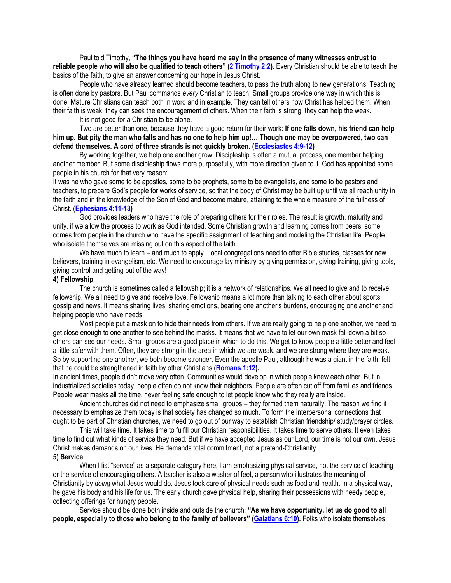Paul told Timothy, **"The things you have heard me say in the presence of many witnesses entrust to reliable people who will also be qualified to teach others" ([2 Timothy 2:2\)](http://biblia.com/bible/niv/2%20Tim%202.2).** Every Christian should be able to teach the basics of the faith, to give an answer concerning our hope in Jesus Christ.

People who have already learned should become teachers, to pass the truth along to new generations. Teaching is often done by pastors. But Paul commands *every* Christian to teach. Small groups provide one way in which this is done. Mature Christians can teach both in word and in example. They can tell others how Christ has helped them. When their faith is weak, they can seek the encouragement of others. When their faith is strong, they can help the weak.

It is not good for a Christian to be alone.

Two are better than one, because they have a good return for their work: **If one falls down, his friend can help him up. But pity the man who falls and has no one to help him up!… Though one may be overpowered, two can defend themselves. A cord of three strands is not quickly broken. [\(Ecclesiastes 4:9-12\)](http://biblia.com/bible/niv/Eccles%204.9-12)**

By working together, we help one another grow. Discipleship is often a mutual process, one member helping another member. But some discipleship flows more purposefully, with more direction given to it. God has appointed some people in his church for that very reason:

It was he who gave some to be apostles, some to be prophets, some to be evangelists, and some to be pastors and teachers, to prepare God's people for works of service, so that the body of Christ may be built up until we all reach unity in the faith and in the knowledge of the Son of God and become mature, attaining to the whole measure of the fullness of Christ. (**[Ephesians 4:11-13\)](http://biblia.com/bible/niv/Eph%204.11-13)**

God provides leaders who have the role of preparing others for their roles. The result is growth, maturity and unity, if we allow the process to work as God intended. Some Christian growth and learning comes from peers; some comes from people in the church who have the specific assignment of teaching and modeling the Christian life. People who isolate themselves are missing out on this aspect of the faith.

We have much to learn – and much to apply. Local congregations need to offer Bible studies, classes for new believers, training in evangelism, etc. We need to encourage lay ministry by giving permission, giving training, giving tools, giving control and getting out of the way!

## **4) Fellowship**

The church is sometimes called a fellowship; it is a network of relationships. We all need to give and to receive fellowship. We all need to give and receive love. Fellowship means a lot more than talking to each other about sports, gossip and news. It means sharing lives, sharing emotions, bearing one another's burdens, encouraging one another and helping people who have needs.

Most people put a mask on to hide their needs from others. If we are really going to help one another, we need to get close enough to one another to see behind the masks. It means that we have to let our own mask fall down a bit so others can see our needs. Small groups are a good place in which to do this. We get to know people a little better and feel a little safer with them. Often, they are strong in the area in which we are weak, and we are strong where they are weak. So by supporting one another, we both become stronger. Even the apostle Paul, although he was a giant in the faith, felt that he could be strengthened in faith by other Christians **[\(Romans 1:12\)](http://biblia.com/bible/niv/Rom%201.12).**

In ancient times, people didn't move very often. Communities would develop in which people knew each other. But in industrialized societies today, people often do not know their neighbors. People are often cut off from families and friends. People wear masks all the time, never feeling safe enough to let people know who they really are inside.

Ancient churches did not need to emphasize small groups – they formed them naturally. The reason we find it necessary to emphasize them today is that society has changed so much. To form the interpersonal connections that ought to be part of Christian churches, we need to go out of our way to establish Christian friendship/ study/prayer circles.

This will take time. It takes time to fulfill our Christian responsibilities. It takes time to serve others. It even takes time to find out what kinds of service they need. But if we have accepted Jesus as our Lord, our time is not our own. Jesus Christ makes demands on our lives. He demands total commitment, not a pretend-Christianity. **5) Service**

When I list "service" as a separate category here, I am emphasizing physical service, not the service of teaching or the service of encouraging others. A teacher is also a washer of feet, a person who illustrates the meaning of Christianity by *doing* what Jesus would do. Jesus took care of physical needs such as food and health. In a physical way, he gave his body and his life for us. The early church gave physical help, sharing their possessions with needy people, collecting offerings for hungry people.

Service should be done both inside and outside the church: **"As we have opportunity, let us do good to all people, especially to those who belong to the family of believers" ([Galatians 6:10\)](http://biblia.com/bible/niv/Gal%206.10).** Folks who isolate themselves